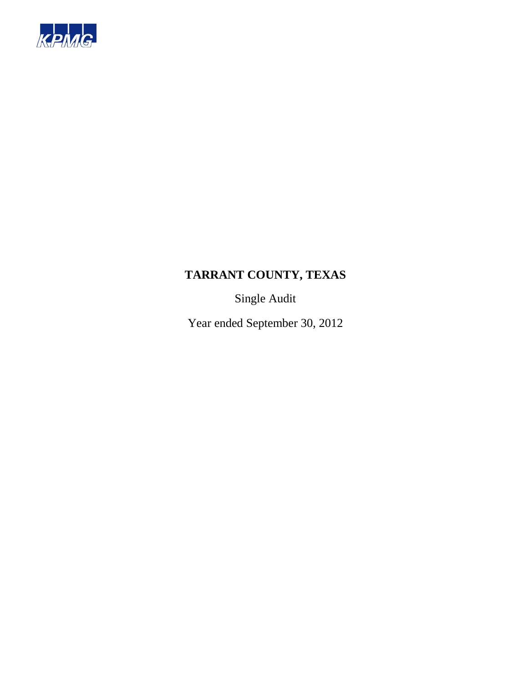

Single Audit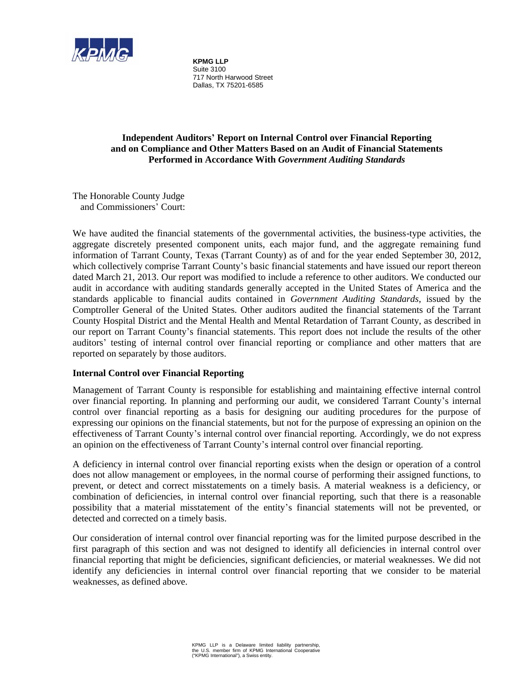

**KPMG LLP**  Suite 3100 717 North Harwood Street Dallas, TX 75201-6585

# **Independent Auditors' Report on Internal Control over Financial Reporting and on Compliance and Other Matters Based on an Audit of Financial Statements Performed in Accordance With** *Government Auditing Standards*

The Honorable County Judge and Commissioners' Court:

We have audited the financial statements of the governmental activities, the business-type activities, the aggregate discretely presented component units, each major fund, and the aggregate remaining fund information of Tarrant County, Texas (Tarrant County) as of and for the year ended September 30, 2012, which collectively comprise Tarrant County's basic financial statements and have issued our report thereon dated March 21, 2013. Our report was modified to include a reference to other auditors. We conducted our audit in accordance with auditing standards generally accepted in the United States of America and the standards applicable to financial audits contained in *Government Auditing Standards*, issued by the Comptroller General of the United States. Other auditors audited the financial statements of the Tarrant County Hospital District and the Mental Health and Mental Retardation of Tarrant County, as described in our report on Tarrant County's financial statements. This report does not include the results of the other auditors' testing of internal control over financial reporting or compliance and other matters that are reported on separately by those auditors.

# **Internal Control over Financial Reporting**

Management of Tarrant County is responsible for establishing and maintaining effective internal control over financial reporting. In planning and performing our audit, we considered Tarrant County's internal control over financial reporting as a basis for designing our auditing procedures for the purpose of expressing our opinions on the financial statements, but not for the purpose of expressing an opinion on the effectiveness of Tarrant County's internal control over financial reporting. Accordingly, we do not express an opinion on the effectiveness of Tarrant County's internal control over financial reporting.

A deficiency in internal control over financial reporting exists when the design or operation of a control does not allow management or employees, in the normal course of performing their assigned functions, to prevent, or detect and correct misstatements on a timely basis. A material weakness is a deficiency, or combination of deficiencies, in internal control over financial reporting, such that there is a reasonable possibility that a material misstatement of the entity's financial statements will not be prevented, or detected and corrected on a timely basis.

Our consideration of internal control over financial reporting was for the limited purpose described in the first paragraph of this section and was not designed to identify all deficiencies in internal control over financial reporting that might be deficiencies, significant deficiencies, or material weaknesses. We did not identify any deficiencies in internal control over financial reporting that we consider to be material weaknesses, as defined above.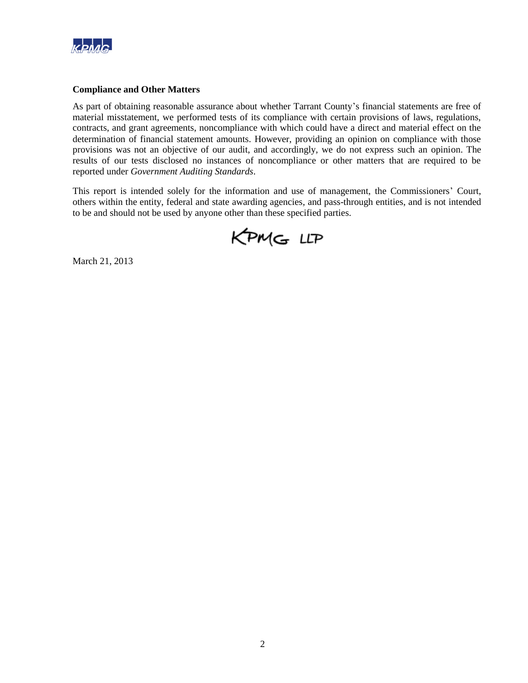

#### **Compliance and Other Matters**

As part of obtaining reasonable assurance about whether Tarrant County's financial statements are free of material misstatement, we performed tests of its compliance with certain provisions of laws, regulations, contracts, and grant agreements, noncompliance with which could have a direct and material effect on the determination of financial statement amounts. However, providing an opinion on compliance with those provisions was not an objective of our audit, and accordingly, we do not express such an opinion. The results of our tests disclosed no instances of noncompliance or other matters that are required to be reported under *Government Auditing Standards*.

This report is intended solely for the information and use of management, the Commissioners' Court, others within the entity, federal and state awarding agencies, and pass-through entities, and is not intended to be and should not be used by anyone other than these specified parties.

KPMG LLP

March 21, 2013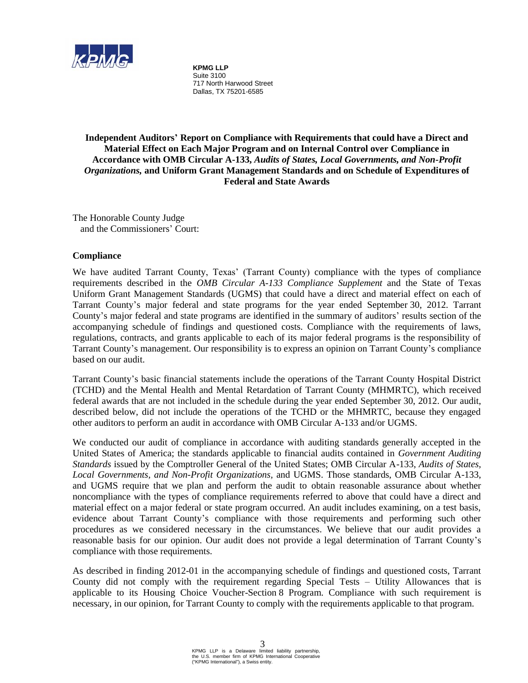

**KPMG LLP**  Suite 3100 717 North Harwood Street Dallas, TX 75201-6585

**Independent Auditors' Report on Compliance with Requirements that could have a Direct and Material Effect on Each Major Program and on Internal Control over Compliance in Accordance with OMB Circular A-133,** *Audits of States, Local Governments, and Non-Profit Organizations,* **and Uniform Grant Management Standards and on Schedule of Expenditures of Federal and State Awards** 

The Honorable County Judge and the Commissioners' Court:

#### **Compliance**

We have audited Tarrant County, Texas' (Tarrant County) compliance with the types of compliance requirements described in the *OMB Circular A-133 Compliance Supplement* and the State of Texas Uniform Grant Management Standards (UGMS) that could have a direct and material effect on each of Tarrant County's major federal and state programs for the year ended September 30, 2012. Tarrant County's major federal and state programs are identified in the summary of auditors' results section of the accompanying schedule of findings and questioned costs. Compliance with the requirements of laws, regulations, contracts, and grants applicable to each of its major federal programs is the responsibility of Tarrant County's management. Our responsibility is to express an opinion on Tarrant County's compliance based on our audit.

Tarrant County's basic financial statements include the operations of the Tarrant County Hospital District (TCHD) and the Mental Health and Mental Retardation of Tarrant County (MHMRTC), which received federal awards that are not included in the schedule during the year ended September 30, 2012. Our audit, described below, did not include the operations of the TCHD or the MHMRTC, because they engaged other auditors to perform an audit in accordance with OMB Circular A-133 and/or UGMS.

We conducted our audit of compliance in accordance with auditing standards generally accepted in the United States of America; the standards applicable to financial audits contained in *Government Auditing Standards* issued by the Comptroller General of the United States; OMB Circular A-133, *Audits of States, Local Governments, and Non-Profit Organizations,* and UGMS. Those standards, OMB Circular A-133, and UGMS require that we plan and perform the audit to obtain reasonable assurance about whether noncompliance with the types of compliance requirements referred to above that could have a direct and material effect on a major federal or state program occurred. An audit includes examining, on a test basis, evidence about Tarrant County's compliance with those requirements and performing such other procedures as we considered necessary in the circumstances. We believe that our audit provides a reasonable basis for our opinion. Our audit does not provide a legal determination of Tarrant County's compliance with those requirements.

As described in finding 2012-01 in the accompanying schedule of findings and questioned costs, Tarrant County did not comply with the requirement regarding Special Tests – Utility Allowances that is applicable to its Housing Choice Voucher-Section 8 Program. Compliance with such requirement is necessary, in our opinion, for Tarrant County to comply with the requirements applicable to that program.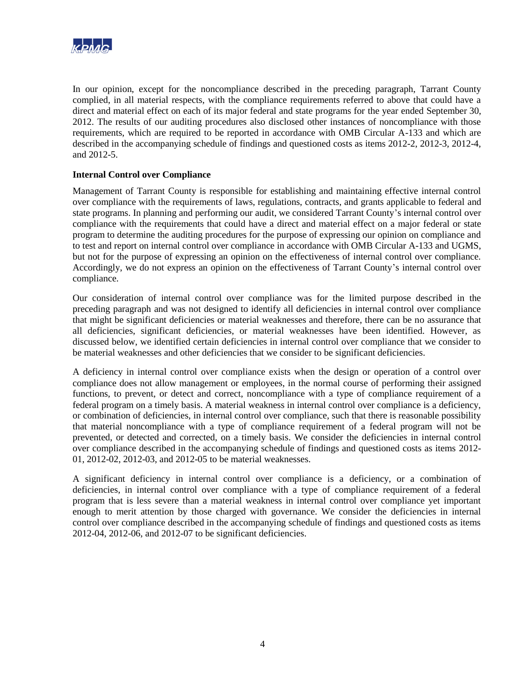

In our opinion, except for the noncompliance described in the preceding paragraph, Tarrant County complied, in all material respects, with the compliance requirements referred to above that could have a direct and material effect on each of its major federal and state programs for the year ended September 30, 2012. The results of our auditing procedures also disclosed other instances of noncompliance with those requirements, which are required to be reported in accordance with OMB Circular A-133 and which are described in the accompanying schedule of findings and questioned costs as items 2012-2, 2012-3, 2012-4, and 2012-5.

#### **Internal Control over Compliance**

Management of Tarrant County is responsible for establishing and maintaining effective internal control over compliance with the requirements of laws, regulations, contracts, and grants applicable to federal and state programs. In planning and performing our audit, we considered Tarrant County's internal control over compliance with the requirements that could have a direct and material effect on a major federal or state program to determine the auditing procedures for the purpose of expressing our opinion on compliance and to test and report on internal control over compliance in accordance with OMB Circular A-133 and UGMS, but not for the purpose of expressing an opinion on the effectiveness of internal control over compliance. Accordingly, we do not express an opinion on the effectiveness of Tarrant County's internal control over compliance.

Our consideration of internal control over compliance was for the limited purpose described in the preceding paragraph and was not designed to identify all deficiencies in internal control over compliance that might be significant deficiencies or material weaknesses and therefore, there can be no assurance that all deficiencies, significant deficiencies, or material weaknesses have been identified. However, as discussed below, we identified certain deficiencies in internal control over compliance that we consider to be material weaknesses and other deficiencies that we consider to be significant deficiencies.

A deficiency in internal control over compliance exists when the design or operation of a control over compliance does not allow management or employees, in the normal course of performing their assigned functions, to prevent, or detect and correct, noncompliance with a type of compliance requirement of a federal program on a timely basis. A material weakness in internal control over compliance is a deficiency, or combination of deficiencies, in internal control over compliance, such that there is reasonable possibility that material noncompliance with a type of compliance requirement of a federal program will not be prevented, or detected and corrected, on a timely basis. We consider the deficiencies in internal control over compliance described in the accompanying schedule of findings and questioned costs as items 2012- 01, 2012-02, 2012-03, and 2012-05 to be material weaknesses.

A significant deficiency in internal control over compliance is a deficiency, or a combination of deficiencies, in internal control over compliance with a type of compliance requirement of a federal program that is less severe than a material weakness in internal control over compliance yet important enough to merit attention by those charged with governance. We consider the deficiencies in internal control over compliance described in the accompanying schedule of findings and questioned costs as items 2012-04, 2012-06, and 2012-07 to be significant deficiencies.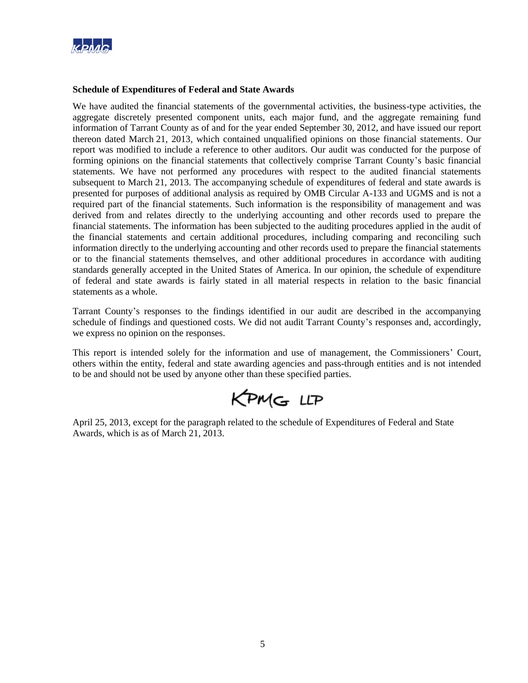

#### **Schedule of Expenditures of Federal and State Awards**

We have audited the financial statements of the governmental activities, the business-type activities, the aggregate discretely presented component units, each major fund, and the aggregate remaining fund information of Tarrant County as of and for the year ended September 30, 2012, and have issued our report thereon dated March 21, 2013, which contained unqualified opinions on those financial statements. Our report was modified to include a reference to other auditors. Our audit was conducted for the purpose of forming opinions on the financial statements that collectively comprise Tarrant County's basic financial statements. We have not performed any procedures with respect to the audited financial statements subsequent to March 21, 2013. The accompanying schedule of expenditures of federal and state awards is presented for purposes of additional analysis as required by OMB Circular A-133 and UGMS and is not a required part of the financial statements. Such information is the responsibility of management and was derived from and relates directly to the underlying accounting and other records used to prepare the financial statements. The information has been subjected to the auditing procedures applied in the audit of the financial statements and certain additional procedures, including comparing and reconciling such information directly to the underlying accounting and other records used to prepare the financial statements or to the financial statements themselves, and other additional procedures in accordance with auditing standards generally accepted in the United States of America. In our opinion, the schedule of expenditure of federal and state awards is fairly stated in all material respects in relation to the basic financial statements as a whole.

Tarrant County's responses to the findings identified in our audit are described in the accompanying schedule of findings and questioned costs. We did not audit Tarrant County's responses and, accordingly, we express no opinion on the responses.

This report is intended solely for the information and use of management, the Commissioners' Court, others within the entity, federal and state awarding agencies and pass-through entities and is not intended to be and should not be used by anyone other than these specified parties.

KPMG LLP

April 25, 2013, except for the paragraph related to the schedule of Expenditures of Federal and State Awards, which is as of March 21, 2013.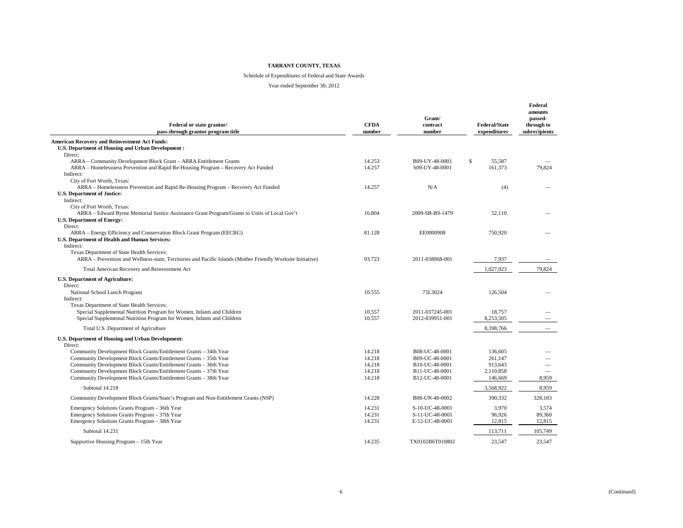#### Schedule of Expenditures of Federal and State Awards

| Federal or state grantor/<br>pass-through grantor program title                                                                                           | <b>CFDA</b><br>number | Grant/<br>contract<br>number     | <b>Federal/State</b><br>expenditures | Federal<br>amounts<br>passed-<br>through to<br>subrecipients |
|-----------------------------------------------------------------------------------------------------------------------------------------------------------|-----------------------|----------------------------------|--------------------------------------|--------------------------------------------------------------|
| <b>American Recovery and Reinvestment Act Funds:</b>                                                                                                      |                       |                                  |                                      |                                                              |
| <b>U.S. Department of Housing and Urban Development:</b>                                                                                                  |                       |                                  |                                      |                                                              |
| Direct:                                                                                                                                                   |                       |                                  |                                      |                                                              |
| ARRA – Community Development Block Grant – ARRA Entitlement Grants<br>ARRA - Homelessness Prevention and Rapid Re-Housing Program - Recovery Act Funded   | 14.253<br>14.257      | B09-UY-48-0001<br>S09-UY-48-0001 | $\mathbf S$<br>55.587<br>161,373     | 79,824                                                       |
| Indirect:                                                                                                                                                 |                       |                                  |                                      |                                                              |
| City of Fort Worth, Texas:                                                                                                                                |                       |                                  |                                      |                                                              |
| ARRA – Homelessness Prevention and Rapid Re-Housing Program – Recovery Act Funded                                                                         | 14.257                | N/A                              | (4)                                  |                                                              |
| <b>U.S. Department of Justice:</b>                                                                                                                        |                       |                                  |                                      |                                                              |
| Indirect:                                                                                                                                                 |                       |                                  |                                      |                                                              |
| City of Fort Worth, Texas:<br>ARRA - Edward Byrne Memorial Justice Assistance Grant Program/Grants to Units of Local Gov't                                | 16.804                | 2009-SB-B9-1479                  | 52.110                               |                                                              |
| <b>U.S. Department of Energy:</b>                                                                                                                         |                       |                                  |                                      |                                                              |
| Direct:                                                                                                                                                   |                       |                                  |                                      |                                                              |
| ARRA - Energy Efficiency and Conservation Block Grant Program (EECBG)                                                                                     | 81.128                | EE0000908                        | 750,920                              |                                                              |
| <b>U.S. Department of Health and Human Services:</b>                                                                                                      |                       |                                  |                                      |                                                              |
| Indirect:                                                                                                                                                 |                       |                                  |                                      |                                                              |
| Texas Department of State Health Services:<br>ARRA – Prevention and Wellness-state, Territories and Pacific Islands (Mother Friendly Worksite Initiative) | 93.723                | 2011-038068-001                  | 7,937                                |                                                              |
|                                                                                                                                                           |                       |                                  |                                      |                                                              |
| Total American Recovery and Reinvestment Act                                                                                                              |                       |                                  | 1,027,923                            | 79,824                                                       |
| <b>U.S. Department of Agriculture:</b>                                                                                                                    |                       |                                  |                                      |                                                              |
| Direct:                                                                                                                                                   |                       |                                  |                                      |                                                              |
| National School Lunch Program<br>Indirect:                                                                                                                | 10.555                | 75L3024                          | 126.504                              |                                                              |
| Texas Department of State Health Services:                                                                                                                |                       |                                  |                                      |                                                              |
| Special Supplemental Nutrition Program for Women, Infants and Children                                                                                    | 10.557                | 2011-037245-001                  | 18,757                               |                                                              |
| Special Supplemental Nutrition Program for Women, Infants and Children                                                                                    | 10.557                | 2012-039951-001                  | 8,253,505                            |                                                              |
| Total U.S. Department of Agriculture                                                                                                                      |                       |                                  | 8.398.766                            |                                                              |
|                                                                                                                                                           |                       |                                  |                                      |                                                              |
| U.S. Department of Housing and Urban Development:<br>Direct:                                                                                              |                       |                                  |                                      |                                                              |
| Community Development Block Grants/Entitlement Grants - 34th Year                                                                                         | 14.218                | B08-UC-48-0001                   | 136,605                              |                                                              |
| Community Development Block Grants/Entitlement Grants - 35th Year                                                                                         | 14.218                | B09-UC-48-0001                   | 261.147                              |                                                              |
| Community Development Block Grants/Entitlement Grants - 36th Year                                                                                         | 14.218                | B10-UC-48-0001                   | 913,643                              |                                                              |
| Community Development Block Grants/Entitlement Grants - 37th Year                                                                                         | 14.218                | B11-UC-48-0001                   | 2,110,858                            |                                                              |
| Community Development Block Grants/Entitlement Grants - 38th Year                                                                                         | 14.218                | B12-UC-48-0001                   | 146,669                              | 8,959                                                        |
| Subtotal 14.218                                                                                                                                           |                       |                                  | 3,568,922                            | 8,959                                                        |
| Community Development Block Grants/State's Program and Non-Entitlement Grants (NSP)                                                                       | 14.228                | B08-UN-48-0002                   | 390,332                              | 328,183                                                      |
| Emergency Solutions Grants Program - 36th Year                                                                                                            | 14.231                | S-10-UC-48-0001                  | 3.970                                | 3.574                                                        |
| Emergency Solutions Grants Program - 37th Year                                                                                                            | 14.231                | S-11-UC-48-0001                  | 96.926                               | 89.360                                                       |
| Emergency Solutions Grants Program - 38th Year                                                                                                            | 14.231                | E-12-UC-48-0001                  | 12,815                               | 12,815                                                       |
| Subtotal 14.231                                                                                                                                           |                       |                                  | 113,711                              | 105,749                                                      |
| Supportive Housing Program - 15th Year                                                                                                                    | 14.235                | TX0102B6T010802                  | 23,547                               | 23,547                                                       |
|                                                                                                                                                           |                       |                                  |                                      |                                                              |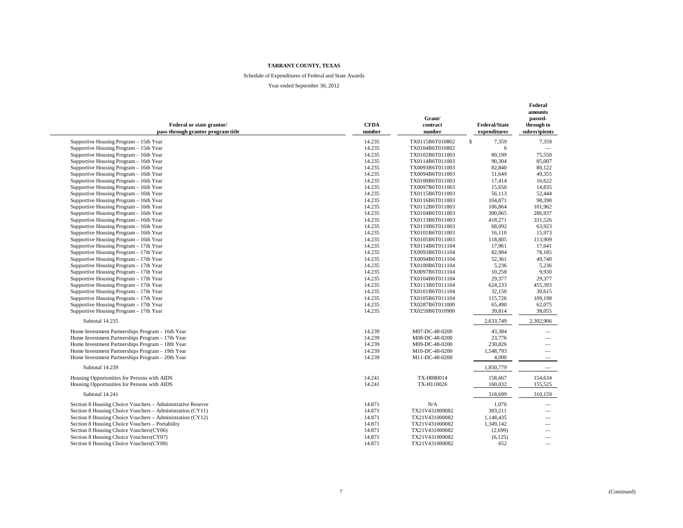#### Schedule of Expenditures of Federal and State Awards

| Federal or state grantor/<br>pass-through grantor program title | <b>CFDA</b><br>number | Grant/<br>contract<br>number | <b>Federal/State</b><br>expenditures | Federal<br>amounts<br>passed-<br>through to<br>subrecipients |
|-----------------------------------------------------------------|-----------------------|------------------------------|--------------------------------------|--------------------------------------------------------------|
| Supportive Housing Program - 15th Year                          | 14.235                | TX0115B6T010802              | $\mathbf S$<br>7,359                 | 7,359                                                        |
| Supportive Housing Program - 15th Year                          | 14.235                | TX0104B6T010802              | 6                                    |                                                              |
| Supportive Housing Program - 16th Year                          | 14.235                | TX0102B6T011003              | 80,199                               | 75,550                                                       |
| Supportive Housing Program - 16th Year                          | 14.235                | TX0114B6T011003              | 90,304                               | 85,007                                                       |
| Supportive Housing Program - 16th Year                          | 14.235                | TX0093B6T011003              | 82,840                               | 80,122                                                       |
| Supportive Housing Program - 16th Year                          | 14.235                | TX0094B6T011003              | 51,649                               | 49,355                                                       |
| Supportive Housing Program - 16th Year                          | 14.235                | TX0100B6T011003              | 17,414                               | 16,622                                                       |
| Supportive Housing Program - 16th Year                          | 14.235                | TX0097B6T011003              | 15,650                               | 14,835                                                       |
| Supportive Housing Program - 16th Year                          | 14.235                | TX0115B6T011003              | 56,113                               | 52,444                                                       |
| Supportive Housing Program - 16th Year                          | 14.235                | TX0116B6T011003              | 104,871                              | 98,390                                                       |
| Supportive Housing Program - 16th Year                          | 14.235                | TX0112B6T011803              | 106,864                              | 101,962                                                      |
| Supportive Housing Program - 16th Year                          | 14.235                | TX0104B6T011003              | 300,065                              | 286,937                                                      |
| Supportive Housing Program - 16th Year                          | 14.235                | TX0113B6T011003              | 418,271                              | 331,526                                                      |
| Supportive Housing Program - 16th Year                          | 14.235                | TX0119B6T011003              | 68,092                               | 63,923                                                       |
| Supportive Housing Program - 16th Year                          | 14.235                | TX0101B6T011003              | 16,110                               | 15,973                                                       |
| Supportive Housing Program - 16th Year                          | 14.235                | TX0105B6T011003              | 118,805                              | 113,909                                                      |
| Supportive Housing Program - 17th Year                          | 14.235                | TX0114B6T011104              | 17,961                               | 17.641                                                       |
| Supportive Housing Program - 17th Year                          | 14.235                | TX0093B6T011104              | 82,984                               | 78,185                                                       |
| Supportive Housing Program - 17th Year                          | 14.235                | TX0094B6T011104              | 52,361                               | 49,740                                                       |
| Supportive Housing Program - 17th Year                          | 14.235                | TX0100B6T011104              | 5,236                                | 5,236                                                        |
| Supportive Housing Program - 17th Year                          | 14.235                | TX0097B6T011104              | 10,258                               | 9,930                                                        |
| Supportive Housing Program - 17th Year                          | 14.235                | TX0104B6T011104              | 29,377                               | 29,377                                                       |
| Supportive Housing Program - 17th Year                          | 14.235                | TX0113B6T011104              | 624,233                              | 455,393                                                      |
| Supportive Housing Program - 17th Year                          | 14.235                | TX0101B6T011104              | 32,150                               | 30,615                                                       |
| Supportive Housing Program - 17th Year                          | 14.235                | TX0105B6T011104              | 115,726                              | 109,198                                                      |
| Supportive Housing Program - 17th Year                          | 14.235                | TX0287B6T011000              | 65,490                               | 62,075                                                       |
| Supportive Housing Program - 17th Year                          | 14.235                | TX0259B6T010900              | 39,814                               | 38,055                                                       |
|                                                                 |                       |                              |                                      |                                                              |
| Subtotal 14.235                                                 |                       |                              | 2,633,749                            | 2,302,906                                                    |
| Home Investment Partnerships Program - 16th Year                | 14.239                | M07-DC-48-0200               | 43,384                               | $\overline{\phantom{0}}$                                     |
| Home Investment Partnerships Program - 17th Year                | 14.239                | M08-DC-48-0200               | 23,776                               | $\overline{\phantom{0}}$                                     |
| Home Investment Partnerships Program - 18th Year                | 14.239                | M09-DC-48-0200               | 230,826                              |                                                              |
| Home Investment Partnerships Program - 19th Year                | 14.239                | M10-DC-48-0200               | 1,548,793                            | $\overline{\phantom{0}}$                                     |
| Home Investment Partnerships Program - 20th Year                | 14.239                | M11-DC-48-0200               | 4,000                                |                                                              |
| Subtotal 14.239                                                 |                       |                              | 1,850,779                            | $\overline{\phantom{m}}$                                     |
| Housing Opportunities for Persons with AIDS                     | 14.241                | TX-H080014                   | 158,667                              | 154,634                                                      |
| Housing Opportunities for Persons with AIDS                     | 14.241                | TX-H110026                   | 160,032                              | 155,525                                                      |
| Subtotal 14.241                                                 |                       |                              | 318,699                              | 310,159                                                      |
| Section 8 Housing Choice Vouchers - Administrative Reserve      | 14.871                | N/A                          | 1,076                                | $\overline{\phantom{0}}$                                     |
| Section 8 Housing Choice Vouchers - Administration (CY11)       | 14.871                | TX21V431000082               | 383,211                              | $\overline{\phantom{0}}$                                     |
| Section 8 Housing Choice Vouchers - Administration (CY12)       | 14.871                | TX21V431000082               | 1,148,435                            | $\overbrace{\phantom{13333}}$                                |
| Section 8 Housing Choice Vouchers - Portability                 | 14.871                | TX21V431000082               | 1,349,142                            | $\overline{\phantom{0}}$                                     |
| Section 8 Housing Choice Vouchers(CY06)                         | 14.871                | TX21V431000082               | (2,699)                              |                                                              |
| Section 8 Housing Choice Vouchers(CY07)                         | 14.871                | TX21V431000082               | (6,125)                              | $\overline{\phantom{m}}$                                     |
| Section 8 Housing Choice Vouchers(CY08)                         | 14.871                | TX21V431000082               | 652                                  | $\overline{\phantom{0}}$                                     |
|                                                                 |                       |                              |                                      |                                                              |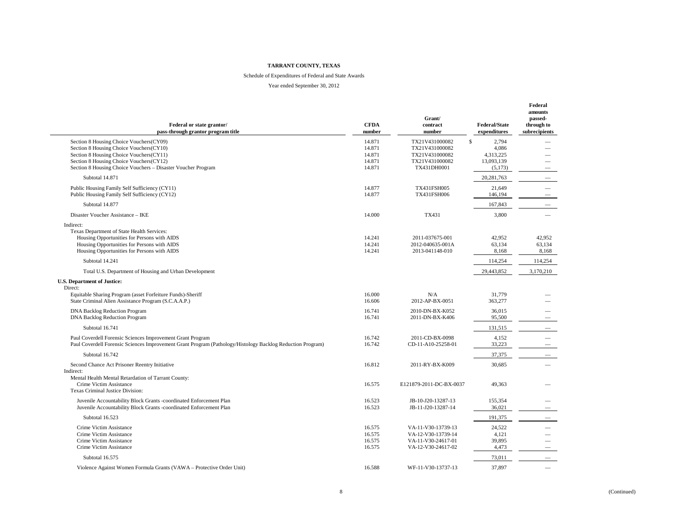#### Schedule of Expenditures of Federal and State Awards

| Federal or state grantor/<br>pass-through grantor program title                                                                                                                                                                          | <b>CFDA</b><br>number                          | Grant/<br>contract<br>number                                                         | <b>Federal/State</b><br>expenditures                       | Federal<br>amounts<br>passed-<br>through to<br>subrecipients |
|------------------------------------------------------------------------------------------------------------------------------------------------------------------------------------------------------------------------------------------|------------------------------------------------|--------------------------------------------------------------------------------------|------------------------------------------------------------|--------------------------------------------------------------|
| Section 8 Housing Choice Vouchers(CY09)<br>Section 8 Housing Choice Vouchers(CY10)<br>Section 8 Housing Choice Vouchers(CY11)<br>Section 8 Housing Choice Vouchers(CY12)<br>Section 8 Housing Choice Vouchers - Disaster Voucher Program | 14.871<br>14.871<br>14.871<br>14.871<br>14.871 | TX21V431000082<br>TX21V431000082<br>TX21V431000082<br>TX21V431000082<br>TX431DH0001  | \$<br>2,794<br>4,086<br>4,313,225<br>13,093,139<br>(5,173) |                                                              |
| Subtotal 14.871                                                                                                                                                                                                                          |                                                |                                                                                      | 20,281,763                                                 |                                                              |
| Public Housing Family Self Sufficiency (CY11)<br>Public Housing Family Self Sufficiency (CY12)                                                                                                                                           | 14.877<br>14.877                               | TX431FSH005<br>TX431FSH006                                                           | 21,649<br>146,194                                          |                                                              |
| Subtotal 14.877                                                                                                                                                                                                                          |                                                |                                                                                      | 167,843                                                    |                                                              |
| Disaster Voucher Assistance - IKE                                                                                                                                                                                                        | 14.000                                         | TX431                                                                                | 3,800                                                      |                                                              |
| Indirect:<br>Texas Department of State Health Services:<br>Housing Opportunities for Persons with AIDS<br>Housing Opportunities for Persons with AIDS<br>Housing Opportunities for Persons with AIDS                                     | 14.241<br>14.241<br>14.241                     | 2011-037675-001<br>2012-040635-001A<br>2013-041148-010                               | 42,952<br>63,134<br>8,168                                  | 42,952<br>63,134<br>8,168                                    |
| Subtotal 14.241<br>Total U.S. Department of Housing and Urban Development                                                                                                                                                                |                                                |                                                                                      | 114,254<br>29,443,852                                      | 114,254<br>3,170,210                                         |
| <b>U.S. Department of Justice:</b><br>Direct:<br>Equitable Sharing Program (asset Forfeiture Funds)-Sheriff<br>State Criminal Alien Assistance Program (S.C.A.A.P.)                                                                      | 16.000<br>16.606                               | N/A<br>2012-AP-BX-0051                                                               | 31,779<br>363,277                                          |                                                              |
| <b>DNA Backlog Reduction Program</b><br><b>DNA Backlog Reduction Program</b>                                                                                                                                                             | 16.741<br>16.741                               | 2010-DN-BX-K052<br>2011-DN-BX-K406                                                   | 36,015<br>95,500                                           |                                                              |
| Subtotal 16.741                                                                                                                                                                                                                          |                                                |                                                                                      | 131,515                                                    |                                                              |
| Paul Coverdell Forensic Sciences Improvement Grant Program<br>Paul Coverdell Forensic Sciences Improvement Grant Program (Pathology/Histology Backlog Reduction Program)                                                                 | 16.742<br>16.742                               | 2011-CD-BX-0098<br>CD-11-A10-25258-01                                                | 4,152<br>33,223                                            |                                                              |
| Subtotal 16.742                                                                                                                                                                                                                          |                                                |                                                                                      | 37,375                                                     |                                                              |
| Second Chance Act Prisoner Reentry Initiative<br>Indirect:<br>Mental Health Mental Retardation of Tarrant County:                                                                                                                        | 16.812                                         | 2011-RY-BX-K009                                                                      | 30,685                                                     |                                                              |
| Crime Victim Assistance<br>Texas Criminal Justice Division:                                                                                                                                                                              | 16.575                                         | E121879-2011-DC-BX-0037                                                              | 49,363                                                     |                                                              |
| Juvenile Accountability Block Grants -coordinated Enforcement Plan<br>Juvenile Accountability Block Grants -coordinated Enforcement Plan                                                                                                 | 16.523<br>16.523                               | JB-10-J20-13287-13<br>JB-11-J20-13287-14                                             | 155,354<br>36,021                                          |                                                              |
| Subtotal 16.523                                                                                                                                                                                                                          |                                                |                                                                                      | 191,375                                                    |                                                              |
| Crime Victim Assistance<br>Crime Victim Assistance<br>Crime Victim Assistance<br>Crime Victim Assistance                                                                                                                                 | 16.575<br>16.575<br>16.575<br>16.575           | VA-11-V30-13739-13<br>VA-12-V30-13739-14<br>VA-11-V30-24617-01<br>VA-12-V30-24617-02 | 24.522<br>4,121<br>39,895<br>4,473                         |                                                              |
| Subtotal 16.575                                                                                                                                                                                                                          |                                                |                                                                                      | 73,011                                                     |                                                              |
| Violence Against Women Formula Grants (VAWA - Protective Order Unit)                                                                                                                                                                     | 16.588                                         | WF-11-V30-13737-13                                                                   | 37,897                                                     |                                                              |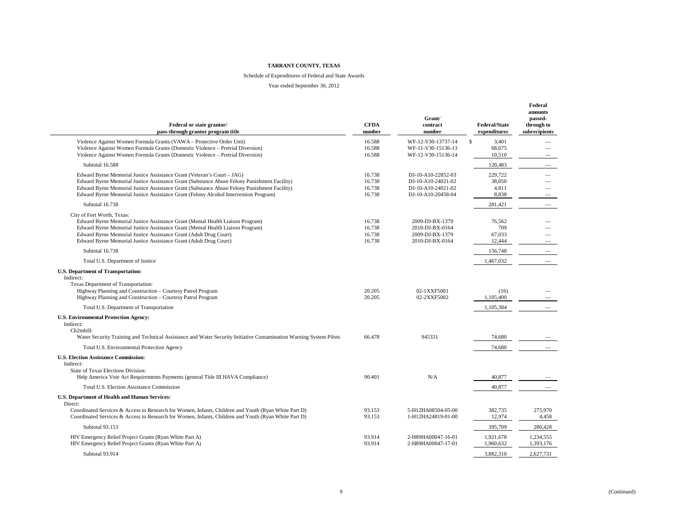#### Schedule of Expenditures of Federal and State Awards

| Federal or state grantor/<br>pass-through grantor program title                                                                                                                                                                                                                                                                                              | <b>CFDA</b><br>number                | Grant/<br>contract<br>number                                                         | <b>Federal/State</b><br>expenditures     | Federal<br>amounts<br>passed-<br>through to<br>subrecipients |
|--------------------------------------------------------------------------------------------------------------------------------------------------------------------------------------------------------------------------------------------------------------------------------------------------------------------------------------------------------------|--------------------------------------|--------------------------------------------------------------------------------------|------------------------------------------|--------------------------------------------------------------|
| Violence Against Women Formula Grants (VAWA - Protective Order Unit)<br>Violence Against Women Formula Grants (Domestic Violence – Pretrial Diversion)<br>Violence Against Women Formula Grants (Domestic Violence – Pretrial Diversion)                                                                                                                     | 16.588<br>16.588<br>16.588           | WF-12-V30-13737-14<br>WF-11-V30-15136-13<br>WF-12-V30-15136-14                       | $\mathbf S$<br>3.401<br>68.675<br>10,510 |                                                              |
| Subtotal 16.588                                                                                                                                                                                                                                                                                                                                              |                                      |                                                                                      | 120,483                                  | $\overline{\phantom{0}}$                                     |
| Edward Byrne Memorial Justice Assistance Grant (Veteran's Court - JAG)<br>Edward Byrne Memorial Justice Assistance Grant (Substance Abuse Felony Punishment Facility)<br>Edward Byrne Memorial Justice Assistance Grant (Substance Abuse Felony Punishment Facility)<br>Edward Byrne Memorial Justice Assistance Grant (Felony Alcohol Intervention Program) | 16.738<br>16.738<br>16.738<br>16.738 | DJ-10-A10-22852-03<br>DJ-10-A10-24021-02<br>DJ-10-A10-24021-02<br>DJ-10-A10-20458-04 | 229,722<br>38,050<br>4,811<br>8,838      |                                                              |
| Subtotal 16.738                                                                                                                                                                                                                                                                                                                                              |                                      |                                                                                      | 281,421                                  |                                                              |
| City of Fort Worth, Texas:<br>Edward Byrne Memorial Justice Assistance Grant (Mental Health Liaison Program)<br>Edward Byrne Memorial Justice Assistance Grant (Mental Health Liaison Program)<br>Edward Byrne Memorial Justice Assistance Grant (Adult Drug Court)<br>Edward Byrne Memorial Justice Assistance Grant (Adult Drug Court)                     | 16.738<br>16.738<br>16.738<br>16.738 | 2009-DJ-BX-1379<br>2010-DJ-BX-0164<br>2009-DJ-BX-1379<br>2010-DJ-BX-0164             | 76,562<br>709<br>67.033<br>12,444        |                                                              |
| Subtotal 16.738                                                                                                                                                                                                                                                                                                                                              |                                      |                                                                                      | 156,748                                  |                                                              |
| Total U.S. Department of Justice                                                                                                                                                                                                                                                                                                                             |                                      |                                                                                      | 1,467,032                                |                                                              |
| <b>U.S. Department of Transportation:</b><br>Indirect:<br>Texas Department of Transportation:<br>Highway Planning and Construction - Courtesy Patrol Program<br>Highway Planning and Construction - Courtesy Patrol Program                                                                                                                                  | 20.205<br>20.205                     | 02-1XXF5001<br>02-2XXF5002                                                           | (16)<br>1,105,400                        |                                                              |
| Total U.S. Department of Transportation                                                                                                                                                                                                                                                                                                                      |                                      |                                                                                      | 1,105,384                                |                                                              |
| <b>U.S. Environmental Protection Agency:</b><br>Indirect:<br>Ch2mhill:<br>Water Security Training and Technical Assistance and Water Security Initiative Contamination Warning System Pilots                                                                                                                                                                 | 66.478                               | 945331                                                                               | 74,680                                   |                                                              |
| Total U.S. Environmental Protection Agency                                                                                                                                                                                                                                                                                                                   |                                      |                                                                                      | 74,680                                   |                                                              |
| <b>U.S. Election Assistance Commission:</b><br>Indirect:<br>State of Texas Elections Division:<br>Help America Vote Act Requirements Payments (general Title III HAVA Compliance)                                                                                                                                                                            | 90.401                               | N/A                                                                                  | 40,877                                   |                                                              |
| Total U.S. Election Assistance Commission                                                                                                                                                                                                                                                                                                                    |                                      |                                                                                      | 40,877                                   |                                                              |
| U.S. Department of Health and Human Services:<br>Direct:<br>Coordinated Services & Access to Research for Women, Infants, Children and Youth (Ryan White Part D)                                                                                                                                                                                             | 93.153                               | 5-H12HA08504-05-00                                                                   | 382.735                                  | 275.970                                                      |
| Coordinated Services & Access to Research for Women, Infants, Children and Youth (Ryan White Part D)                                                                                                                                                                                                                                                         | 93.153                               | 1-H12HA24819-01-00                                                                   | 12,974                                   | 4,458                                                        |
| Subtotal 93.153                                                                                                                                                                                                                                                                                                                                              |                                      |                                                                                      | 395,709                                  | 280,428                                                      |
| HIV Emergency Relief Project Grants (Ryan White Part A)<br>HIV Emergency Relief Project Grants (Ryan White Part A)                                                                                                                                                                                                                                           | 93.914<br>93.914                     | 2-H89HA00047-16-01<br>2-H89HA00047-17-01                                             | 1,921,678<br>1,960,632                   | 1,234,555<br>1,393,176                                       |
| Subtotal 93.914                                                                                                                                                                                                                                                                                                                                              |                                      |                                                                                      | 3,882,310                                | 2,627,731                                                    |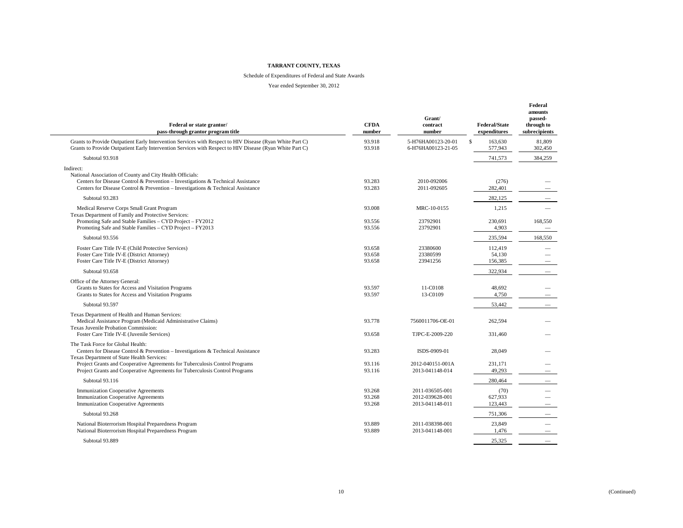#### Schedule of Expenditures of Federal and State Awards

| Federal or state grantor/<br>pass-through grantor program title                                                                                                                                                                                | <b>CFDA</b><br>number      | Grant/<br>contract<br>number                          | <b>Federal/State</b><br>expenditures | Federal<br>amounts<br>passed-<br>through to<br>subrecipients |
|------------------------------------------------------------------------------------------------------------------------------------------------------------------------------------------------------------------------------------------------|----------------------------|-------------------------------------------------------|--------------------------------------|--------------------------------------------------------------|
| Grants to Provide Outpatient Early Intervention Services with Respect to HIV Disease (Ryan White Part C)<br>Grants to Provide Outpatient Early Intervention Services with Respect to HIV Disease (Ryan White Part C)                           | 93.918<br>93.918           | 5-H76HA00123-20-01<br>6-H76HA00123-21-05              | $\mathbb S$<br>163,630<br>577,943    | 81,809<br>302,450                                            |
| Subtotal 93.918                                                                                                                                                                                                                                |                            |                                                       | 741,573                              | 384,259                                                      |
| Indirect:<br>National Association of County and City Health Officials:<br>Centers for Disease Control & Prevention - Investigations & Technical Assistance<br>Centers for Disease Control & Prevention - Investigations & Technical Assistance | 93.283<br>93.283           | 2010-092006<br>2011-092605                            | (276)<br>282.401                     |                                                              |
| Subtotal 93.283                                                                                                                                                                                                                                |                            |                                                       | 282,125                              |                                                              |
| Medical Reserve Corps Small Grant Program                                                                                                                                                                                                      | 93.008                     | MRC-10-0155                                           | 1,215                                |                                                              |
| Texas Department of Family and Protective Services:<br>Promoting Safe and Stable Families - CYD Project - FY2012<br>Promoting Safe and Stable Families - CYD Project - FY2013                                                                  | 93.556<br>93.556           | 23792901<br>23792901                                  | 230,691<br>4,903                     | 168,550                                                      |
| Subtotal 93.556                                                                                                                                                                                                                                |                            |                                                       | 235,594                              | 168,550                                                      |
| Foster Care Title IV-E (Child Protective Services)<br>Foster Care Title IV-E (District Attorney)<br>Foster Care Title IV-E (District Attorney)                                                                                                 | 93.658<br>93.658<br>93.658 | 23380600<br>23380599<br>23941256                      | 112,419<br>54.130<br>156,385         | $\overline{\phantom{m}}$                                     |
| Subtotal 93.658                                                                                                                                                                                                                                |                            |                                                       | 322,934                              |                                                              |
| Office of the Attorney General:<br>Grants to States for Access and Visitation Programs<br>Grants to States for Access and Visitation Programs                                                                                                  | 93.597<br>93.597           | 11-C0108<br>13-C0109                                  | 48,692<br>4,750                      |                                                              |
| Subtotal 93.597                                                                                                                                                                                                                                |                            |                                                       | 53,442                               |                                                              |
| Texas Department of Health and Human Services:<br>Medical Assistance Program (Medicaid Administrative Claims)<br>Texas Juvenile Probation Commission:                                                                                          | 93.778                     | 7560011706-OE-01                                      | 262,594                              |                                                              |
| Foster Care Title IV-E (Juvenile Services)                                                                                                                                                                                                     | 93.658                     | TJPC-E-2009-220                                       | 331.460                              |                                                              |
| The Task Force for Global Health:<br>Centers for Disease Control & Prevention - Investigations & Technical Assistance<br>Texas Department of State Health Services:                                                                            | 93.283                     | ISDS-0909-01                                          | 28,049                               |                                                              |
| Project Grants and Cooperative Agreements for Tuberculosis Control Programs<br>Project Grants and Cooperative Agreements for Tuberculosis Control Programs                                                                                     | 93.116<br>93.116           | 2012-040151-001A<br>2013-041148-014                   | 231.171<br>49,293                    |                                                              |
| Subtotal 93.116                                                                                                                                                                                                                                |                            |                                                       | 280,464                              |                                                              |
| <b>Immunization Cooperative Agreements</b><br><b>Immunization Cooperative Agreements</b><br><b>Immunization Cooperative Agreements</b>                                                                                                         | 93.268<br>93.268<br>93.268 | 2011-036505-001<br>2012-039628-001<br>2013-041148-011 | (70)<br>627,933<br>123,443           | $\overbrace{\phantom{12333}}$                                |
| Subtotal 93.268                                                                                                                                                                                                                                |                            |                                                       | 751,306                              |                                                              |
| National Bioterrorism Hospital Preparedness Program<br>National Bioterrorism Hospital Preparedness Program                                                                                                                                     | 93.889<br>93.889           | 2011-038398-001<br>2013-041148-001                    | 23,849<br>1,476                      |                                                              |
| Subtotal 93.889                                                                                                                                                                                                                                |                            |                                                       | 25,325                               |                                                              |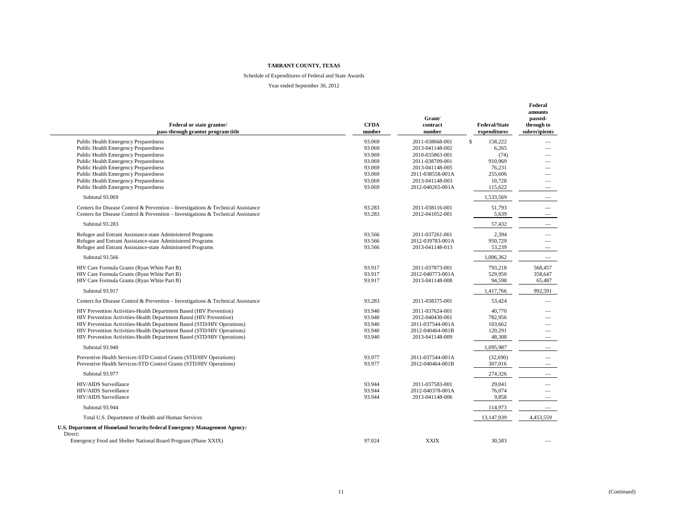#### Schedule of Expenditures of Federal and State Awards

| Federal or state grantor/<br>pass-through grantor program title                  | <b>CFDA</b><br>number | Grant/<br>contract<br>number | <b>Federal/State</b><br>expenditures | Federal<br>amounts<br>passed-<br>through to<br>subrecipients |
|----------------------------------------------------------------------------------|-----------------------|------------------------------|--------------------------------------|--------------------------------------------------------------|
| Public Health Emergency Preparedness                                             | 93.069                | 2011-038668-001              | $\mathbb S$<br>158,222               |                                                              |
| <b>Public Health Emergency Preparedness</b>                                      | 93.069                | 2013-041148-002              | 6,265                                |                                                              |
| Public Health Emergency Preparedness                                             | 93.069                | 2010-035863-001              | (74)                                 |                                                              |
| Public Health Emergency Preparedness                                             | 93.069                | 2011-038709-001              | 910.969                              |                                                              |
| <b>Public Health Emergency Preparedness</b>                                      | 93.069                | 2013-041148-005              | 76,231                               |                                                              |
| Public Health Emergency Preparedness                                             | 93.069                | 2011-038558-001A             | 255,606                              |                                                              |
| Public Health Emergency Preparedness                                             | 93.069                | 2013-041148-003              | 10.728                               |                                                              |
| Public Health Emergency Preparedness                                             | 93.069                | 2012-040265-001A             | 115,622                              |                                                              |
| Subtotal 93.069                                                                  |                       |                              | 1,533,569                            |                                                              |
| Centers for Disease Control & Prevention – Investigations & Technical Assistance | 93.283                | 2011-038116-001              | 51,793                               |                                                              |
| Centers for Disease Control & Prevention - Investigations & Technical Assistance | 93.283                | 2012-041052-001              | 5,639                                |                                                              |
| Subtotal 93.283                                                                  |                       |                              | 57,432                               |                                                              |
|                                                                                  |                       |                              |                                      |                                                              |
| Refugee and Entrant Assistance-state Administered Programs                       | 93.566                | 2011-037261-001              | 2,394                                |                                                              |
| Refugee and Entrant Assistance-state Administered Programs                       | 93.566                | 2012-039783-001A             | 950,729                              |                                                              |
| Refugee and Entrant Assistance-state Administered Programs                       | 93.566                | 2013-041148-013              | 53,239                               |                                                              |
| Subtotal 93.566                                                                  |                       |                              | 1,006,362                            | $\overline{\phantom{m}}$                                     |
| HIV Care Formula Grants (Ryan White Part B)                                      | 93.917                | 2011-037873-001              | 793,218                              | 568,457                                                      |
| HIV Care Formula Grants (Ryan White Part B)                                      | 93.917                | 2012-040773-001A             | 529,950                              | 358,647                                                      |
| HIV Care Formula Grants (Ryan White Part B)                                      | 93.917                | 2013-041148-008              | 94,598                               | 65,487                                                       |
| Subtotal 93.917                                                                  |                       |                              | 1,417,766                            | 992,591                                                      |
| Centers for Disease Control & Prevention – Investigations & Technical Assistance | 93.283                | 2011-038375-001              | 53,424                               |                                                              |
| HIV Prevention Activities-Health Department Based (HIV Prevention)               | 93.940                | 2011-037624-001              | 40,770                               |                                                              |
| HIV Prevention Activities-Health Department Based (HIV Prevention)               | 93.940                | 2012-040430-001              | 782,956                              |                                                              |
| HIV Prevention Activities-Health Department Based (STD/HIV Operations)           | 93.940                | 2011-037544-001A             | 103,662                              |                                                              |
| HIV Prevention Activities-Health Department Based (STD/HIV Operations)           | 93.940                | 2012-040464-001B             | 120,291                              |                                                              |
| HIV Prevention Activities-Health Department Based (STD/HIV Operations)           | 93.940                | 2013-041148-009              | 48,308                               |                                                              |
| Subtotal 93.940                                                                  |                       |                              | 1,095,987                            | $\overline{\phantom{m}}$                                     |
| Preventive Health Services-STD Control Grants (STD/HIV Operations)               | 93.977                | 2011-037544-001A             | (32,690)                             |                                                              |
| Preventive Health Services-STD Control Grants (STD/HIV Operations)               | 93.977                | 2012-040464-001B             | 307,016                              |                                                              |
| Subtotal 93.977                                                                  |                       |                              | 274,326                              |                                                              |
| HIV/AIDS Surveillance                                                            | 93.944                | 2011-037583-001              | 29,041                               | $\overline{\phantom{0}}$                                     |
| HIV/AIDS Surveillance                                                            | 93.944                | 2012-040378-001A             | 76,074                               |                                                              |
| HIV/AIDS Surveillance                                                            | 93.944                | 2013-041148-006              | 9,858                                |                                                              |
| Subtotal 93.944                                                                  |                       |                              | 114,973                              |                                                              |
| Total U.S. Department of Health and Human Services                               |                       |                              | 13,147,939                           | 4,453,559                                                    |
| U.S. Department of Homeland Security/federal Emergency Management Agency:        |                       |                              |                                      |                                                              |
| Direct:<br>Emergency Food and Shelter National Board Program (Phase XXIX)        | 97.024                | <b>XXIX</b>                  | 30,583                               |                                                              |
|                                                                                  |                       |                              |                                      |                                                              |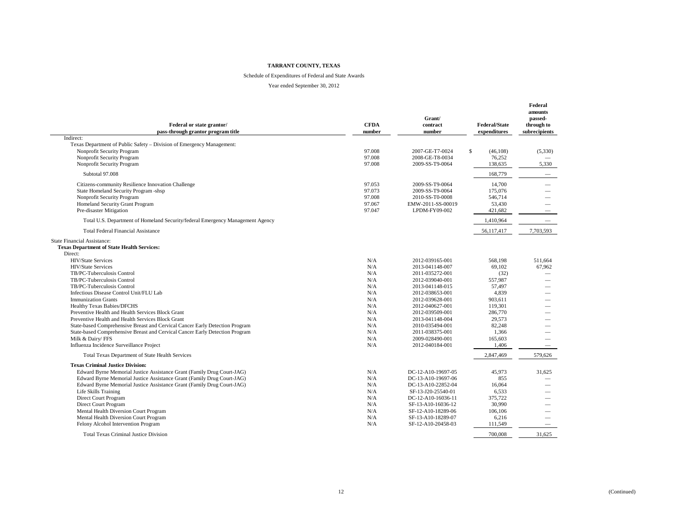#### Schedule of Expenditures of Federal and State Awards

| Federal or state grantor/<br>pass-through grantor program title                | <b>CFDA</b><br>number | Grant/<br>contract<br>number | <b>Federal/State</b><br>expenditures | Federal<br>amounts<br>passed-<br>through to<br>subrecipients |
|--------------------------------------------------------------------------------|-----------------------|------------------------------|--------------------------------------|--------------------------------------------------------------|
| Indirect:                                                                      |                       |                              |                                      |                                                              |
| Texas Department of Public Safety - Division of Emergency Management:          |                       |                              |                                      |                                                              |
| Nonprofit Security Program                                                     | 97.008                | 2007-GE-T7-0024              | $\mathbb S$<br>(46, 108)             | (5,330)                                                      |
| Nonprofit Security Program                                                     | 97.008                | 2008-GE-T8-0034              | 76.252                               |                                                              |
| Nonprofit Security Program                                                     | 97.008                | 2009-SS-T9-0064              | 138,635                              | 5,330                                                        |
| Subtotal 97.008                                                                |                       |                              | 168,779                              |                                                              |
| Citizens-community Resilience Innovation Challenge                             | 97.053                | 2009-SS-T9-0064              | 14.700                               |                                                              |
| State Homeland Security Program -shsp                                          | 97.073                | 2009-SS-T9-0064              | 175,076                              |                                                              |
| Nonprofit Security Program                                                     | 97.008                | 2010-SS-T0-0008              | 546.714                              |                                                              |
| Homeland Security Grant Program                                                | 97.067                | EMW-2011-SS-00019            | 53,430                               |                                                              |
| Pre-disaster Mitigation                                                        | 97.047                | LPDM-FY09-002                | 421,682                              | $\overline{\phantom{0}}$                                     |
| Total U.S. Department of Homeland Security/federal Emergency Management Agency |                       |                              | 1,410,964                            |                                                              |
| <b>Total Federal Financial Assistance</b>                                      |                       |                              | 56,117,417                           | 7,703,593                                                    |
| State Financial Assistance:                                                    |                       |                              |                                      |                                                              |
| <b>Texas Department of State Health Services:</b>                              |                       |                              |                                      |                                                              |
| Direct:                                                                        |                       |                              |                                      |                                                              |
| HIV/State Services                                                             | N/A                   | 2012-039165-001              | 568,198                              | 511,664                                                      |
| <b>HIV/State Services</b>                                                      | N/A                   | 2013-041148-007              | 69.102                               | 67.962                                                       |
| TB/PC-Tuberculosis Control                                                     | N/A                   | 2011-035272-001              | (32)                                 |                                                              |
| TB/PC-Tuberculosis Control                                                     | N/A                   | 2012-039040-001              | 557,987                              |                                                              |
| TB/PC-Tuberculosis Control                                                     | N/A                   | 2013-041148-015              | 57,497                               |                                                              |
| Infectious Disease Control Unit/FLU Lab                                        | N/A                   | 2012-038653-001              | 4.839                                |                                                              |
| <b>Immunization Grants</b>                                                     | N/A                   | 2012-039628-001              | 903,611                              |                                                              |
| Healthy Texas Babies/DFCHS                                                     | N/A                   | 2012-040627-001              | 119,301                              |                                                              |
| Preventive Health and Health Services Block Grant                              | N/A                   | 2012-039509-001              | 286,770                              |                                                              |
| Preventive Health and Health Services Block Grant                              | N/A                   | 2013-041148-004              | 29.573                               |                                                              |
| State-based Comprehensive Breast and Cervical Cancer Early Detection Program   | N/A                   | 2010-035494-001              | 82.248                               |                                                              |
| State-based Comprehensive Breast and Cervical Cancer Early Detection Program   | N/A                   | 2011-038375-001              | 1,366                                |                                                              |
| Milk & Dairy/FFS                                                               | N/A                   | 2009-028490-001              | 165,603                              |                                                              |
| Influenza Incidence Surveillance Project                                       | N/A                   | 2012-040184-001              | 1,406                                | $\overline{\phantom{0}}$                                     |
| <b>Total Texas Department of State Health Services</b>                         |                       |                              | 2,847,469                            | 579,626                                                      |
| <b>Texas Criminal Justice Division:</b>                                        |                       |                              |                                      |                                                              |
| Edward Byrne Memorial Justice Assistance Grant (Family Drug Court-JAG)         | N/A                   | DC-12-A10-19697-05           | 45,973                               | 31,625                                                       |
| Edward Byrne Memorial Justice Assistance Grant (Family Drug Court-JAG)         | N/A                   | DC-13-A10-19697-06           | 855                                  |                                                              |
| Edward Byrne Memorial Justice Assistance Grant (Family Drug Court-JAG)         | N/A                   | DC-13-A10-22852-04           | 16,064                               |                                                              |
| Life Skills Training                                                           | N/A                   | SF-13-J20-25540-01           | 6.533                                |                                                              |
| Direct Court Program                                                           | N/A                   | DC-12-A10-16036-11           | 375.722                              |                                                              |
| Direct Court Program                                                           | N/A                   | SF-13-A10-16036-12           | 30.990                               |                                                              |
| Mental Health Diversion Court Program                                          | N/A                   | SF-12-A10-18289-06           | 106.106                              |                                                              |
| Mental Health Diversion Court Program                                          | N/A                   | SF-13-A10-18289-07           | 6,216                                | $\overline{\phantom{0}}$                                     |
| Felony Alcohol Intervention Program                                            | N/A                   | SF-12-A10-20458-03           | 111,549                              | $\overline{\phantom{0}}$                                     |
| <b>Total Texas Criminal Justice Division</b>                                   |                       |                              | 700,008                              | 31.625                                                       |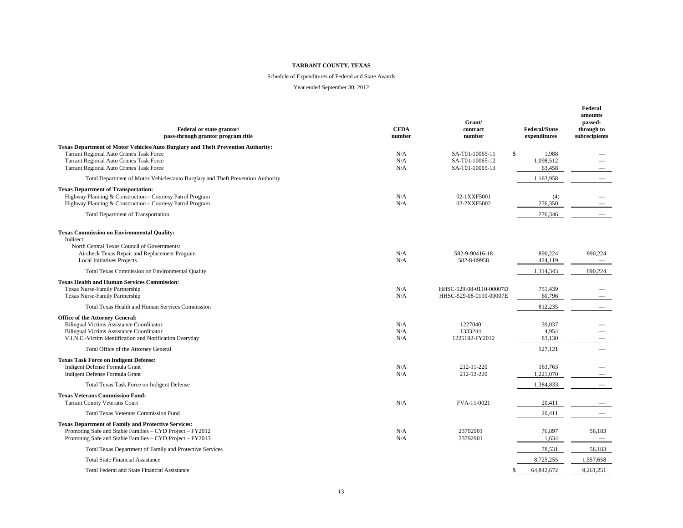#### Schedule of Expenditures of Federal and State Awards

| Federal or state grantor/<br>pass-through grantor program title                                                                                                                                   | <b>CFDA</b><br>number | Grant/<br>contract<br>number                       | <b>Federal/State</b><br>expenditures | Federal<br>amounts<br>passed-<br>through to<br>subrecipients |
|---------------------------------------------------------------------------------------------------------------------------------------------------------------------------------------------------|-----------------------|----------------------------------------------------|--------------------------------------|--------------------------------------------------------------|
| <b>Texas Department of Motor Vehicles/Auto Burglary and Theft Prevention Authority:</b><br>Tarrant Regional Auto Crimes Task Force                                                                | N/A                   | SA-T01-10065-11<br>\$                              | 1,988                                |                                                              |
| <b>Tarrant Regional Auto Crimes Task Force</b><br><b>Tarrant Regional Auto Crimes Task Force</b>                                                                                                  | N/A<br>N/A            | SA-T01-10065-12<br>SA-T01-10065-13                 | 1,098,512<br>63,458                  |                                                              |
| Total Department of Motor Vehicles/auto Burglary and Theft Prevention Authority                                                                                                                   |                       |                                                    | 1,163,958                            |                                                              |
| <b>Texas Department of Transportation:</b><br>Highway Planning & Construction - Courtesy Patrol Program<br>Highway Planning & Construction - Courtesy Patrol Program                              | N/A<br>N/A            | 02-1XXF5001<br>02-2XXF5002                         | (4)<br>276,350                       |                                                              |
| <b>Total Department of Transportation</b>                                                                                                                                                         |                       |                                                    | 276,346                              |                                                              |
| <b>Texas Commission on Environmental Quality:</b><br>Indirect:<br>North Central Texas Council of Governments:                                                                                     |                       |                                                    |                                      |                                                              |
| Aircheck Texas Repair and Replacement Program<br><b>Local Initiatives Projects</b>                                                                                                                | N/A<br>N/A            | 582-9-90416-18<br>582-8-89958                      | 890,224<br>424,119                   | 890,224<br>$\hspace{0.1mm}-\hspace{0.1mm}$                   |
| Total Texas Commission on Environmental Quality                                                                                                                                                   |                       |                                                    | 1,314,343                            | 890,224                                                      |
| <b>Texas Health and Human Services Commission:</b><br>Texas Nurse-Family Partnership<br>Texas Nurse-Family Partnership                                                                            | N/A<br>N/A            | HHSC-529-08-0110-00007D<br>HHSC-529-08-0110-00007E | 751,439<br>60,796                    |                                                              |
| Total Texas Health and Human Services Commission                                                                                                                                                  |                       |                                                    | 812,235                              |                                                              |
| Office of the Attorney General:<br><b>Bilingual Victims Assistance Coordinator</b><br><b>Bilingual Victims Assistance Coordinator</b><br>V.I.N.E.-Victim Identification and Notification Everyday | N/A<br>N/A<br>N/A     | 1227040<br>1333244<br>1225192-FY2012               | 39,037<br>4.954<br>83,130            |                                                              |
| Total Office of the Attorney General                                                                                                                                                              |                       |                                                    | 127,121                              |                                                              |
| <b>Texas Task Force on Indigent Defense:</b><br>Indigent Defense Formula Grant<br>Indigent Defense Formula Grant                                                                                  | N/A<br>N/A            | 212-11-220<br>212-12-220                           | 163.763<br>1,221,070                 |                                                              |
| Total Texas Task Force on Indigent Defense                                                                                                                                                        |                       |                                                    | 1,384,833                            |                                                              |
| <b>Texas Veterans Commission Fund:</b><br><b>Tarrant County Veterans Court</b>                                                                                                                    | N/A                   | FVA-11-0021                                        | 20,411                               |                                                              |
| <b>Total Texas Veterans Commission Fund</b>                                                                                                                                                       |                       |                                                    | 20,411                               |                                                              |
| <b>Texas Department of Family and Protective Services:</b><br>Promoting Safe and Stable Families - CYD Project - FY2012<br>Promoting Safe and Stable Families – CYD Project – FY2013              | N/A<br>N/A            | 23792901<br>23792901                               | 76,897<br>1,634                      | 56,183<br>$\overline{\phantom{0}}$                           |
| Total Texas Department of Family and Protective Services                                                                                                                                          |                       |                                                    | 78,531                               | 56,183                                                       |
| <b>Total State Financial Assistance</b>                                                                                                                                                           |                       |                                                    | 8,725,255                            | 1,557,658                                                    |
| Total Federal and State Financial Assistance                                                                                                                                                      |                       |                                                    | 64,842,672                           | 9,261,251                                                    |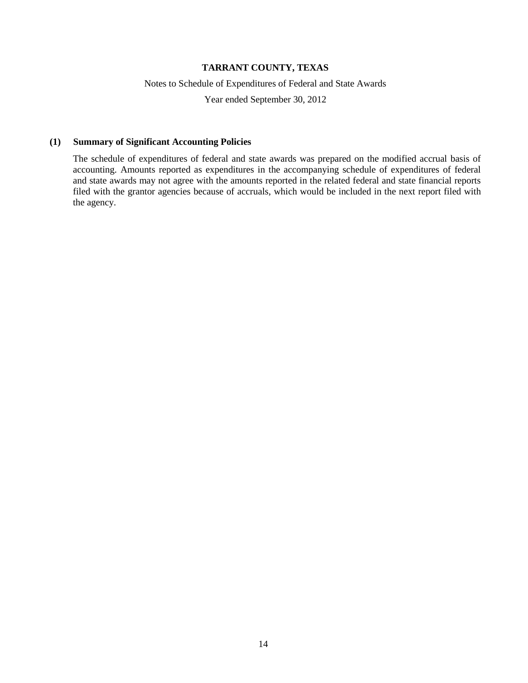#### Notes to Schedule of Expenditures of Federal and State Awards

Year ended September 30, 2012

#### **(1) Summary of Significant Accounting Policies**

The schedule of expenditures of federal and state awards was prepared on the modified accrual basis of accounting. Amounts reported as expenditures in the accompanying schedule of expenditures of federal and state awards may not agree with the amounts reported in the related federal and state financial reports filed with the grantor agencies because of accruals, which would be included in the next report filed with the agency.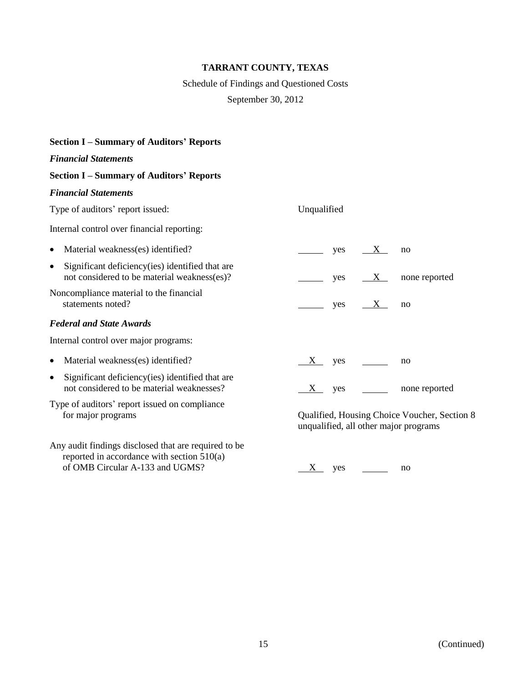# Schedule of Findings and Questioned Costs

September 30, 2012

#### **Section I – Summary of Auditors' Reports**

#### *Financial Statements*

#### **Section I – Summary of Auditors' Reports**

#### *Financial Statements*

Type of auditors' report issued: Unqualified

Internal control over financial reporting:

| • Material weakness(es) identified?                                                               |      | $V$ es $X$  | no            |
|---------------------------------------------------------------------------------------------------|------|-------------|---------------|
| • Significant deficiency (ies) identified that are<br>not considered to be material weakness(es)? |      | yes $X_{-}$ | none reported |
| Noncompliance material to the financial<br>statements noted?                                      | ves. | $\Lambda$   | no            |

#### *Federal and State Awards*

Internal control over major programs:

- Material weakness(es) identified?  $X$  yes no
- Significant deficiency(ies) identified that are not considered to be material weaknesses?  $\frac{X}{X}$  yes  $\frac{X}{X}$  none reported
- Type of auditors' report issued on compliance
- Any audit findings disclosed that are required to be reported in accordance with section 510(a) of OMB Circular A-133 and UGMS?  $\frac{X}{Y}$  yes  $\frac{X}{Y}$  yes no

for major programs Qualified, Housing Choice Voucher, Section 8 unqualified, all other major programs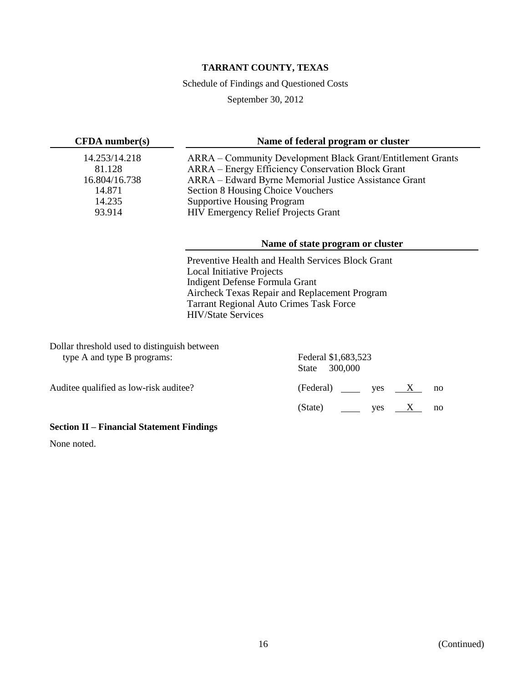Schedule of Findings and Questioned Costs

September 30, 2012

| CFDA number(s)          | Name of federal program or cluster                                                                               |
|-------------------------|------------------------------------------------------------------------------------------------------------------|
| 14.253/14.218<br>81.128 | ARRA – Community Development Black Grant/Entitlement Grants<br>ARRA – Energy Efficiency Conservation Block Grant |
| 16.804/16.738<br>14.871 | ARRA – Edward Byrne Memorial Justice Assistance Grant                                                            |
| 14.235                  | Section 8 Housing Choice Vouchers<br><b>Supportive Housing Program</b>                                           |
| 93.914                  | HIV Emergency Relief Projects Grant                                                                              |

# **Name of state program or cluster**

Preventive Health and Health Services Block Grant Local Initiative Projects Indigent Defense Formula Grant Aircheck Texas Repair and Replacement Program Tarrant Regional Auto Crimes Task Force HIV/State Services

| Dollar threshold used to distinguish between |                                                     |    |
|----------------------------------------------|-----------------------------------------------------|----|
| type A and type B programs:                  | Federal \$1,683,523<br>300,000<br>State             |    |
| Auditee qualified as low-risk auditee?       | $\text{ (Federal)} \quad \text{yes} \quad \text{X}$ | no |
|                                              | $(State)$ yes $X$                                   | no |

# **Section II – Financial Statement Findings**

None noted.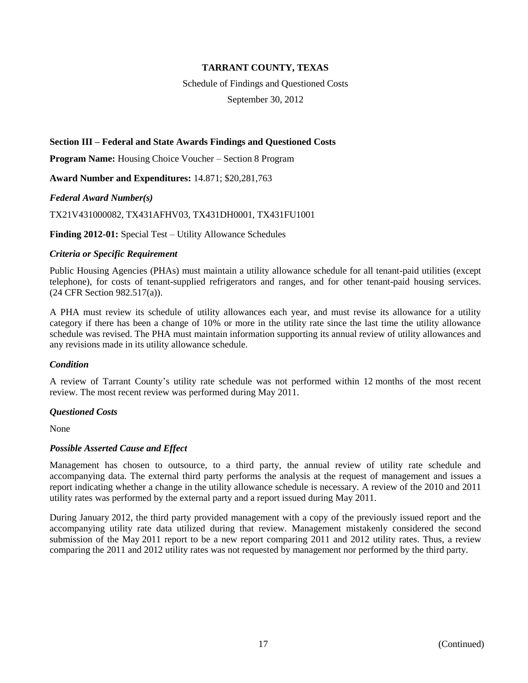Schedule of Findings and Questioned Costs

September 30, 2012

# **Section III – Federal and State Awards Findings and Questioned Costs**

**Program Name:** Housing Choice Voucher – Section 8 Program

**Award Number and Expenditures:** 14.871; \$20,281,763

*Federal Award Number(s)*

TX21V431000082, TX431AFHV03, TX431DH0001, TX431FU1001

**Finding 2012-01:** Special Test – Utility Allowance Schedules

#### *Criteria or Specific Requirement*

Public Housing Agencies (PHAs) must maintain a utility allowance schedule for all tenant-paid utilities (except telephone), for costs of tenant-supplied refrigerators and ranges, and for other tenant-paid housing services. (24 CFR Section 982.517(a)).

A PHA must review its schedule of utility allowances each year, and must revise its allowance for a utility category if there has been a change of 10% or more in the utility rate since the last time the utility allowance schedule was revised. The PHA must maintain information supporting its annual review of utility allowances and any revisions made in its utility allowance schedule.

# *Condition*

A review of Tarrant County's utility rate schedule was not performed within 12 months of the most recent review. The most recent review was performed during May 2011.

#### *Questioned Costs*

None

# *Possible Asserted Cause and Effect*

Management has chosen to outsource, to a third party, the annual review of utility rate schedule and accompanying data. The external third party performs the analysis at the request of management and issues a report indicating whether a change in the utility allowance schedule is necessary. A review of the 2010 and 2011 utility rates was performed by the external party and a report issued during May 2011.

During January 2012, the third party provided management with a copy of the previously issued report and the accompanying utility rate data utilized during that review. Management mistakenly considered the second submission of the May 2011 report to be a new report comparing 2011 and 2012 utility rates. Thus, a review comparing the 2011 and 2012 utility rates was not requested by management nor performed by the third party.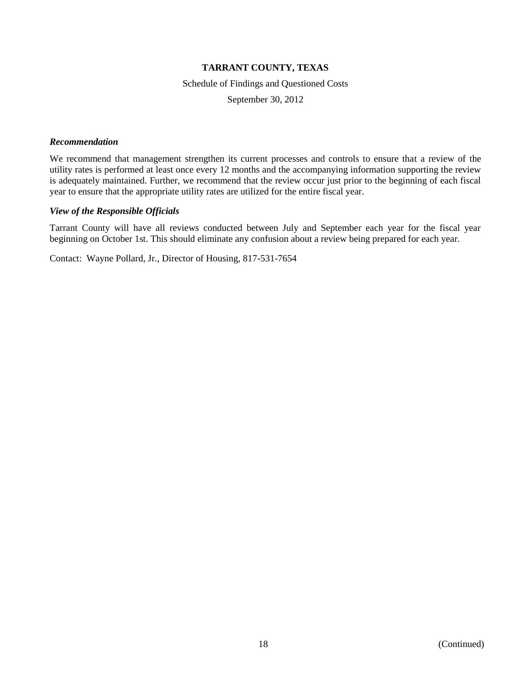Schedule of Findings and Questioned Costs

September 30, 2012

#### *Recommendation*

We recommend that management strengthen its current processes and controls to ensure that a review of the utility rates is performed at least once every 12 months and the accompanying information supporting the review is adequately maintained. Further, we recommend that the review occur just prior to the beginning of each fiscal year to ensure that the appropriate utility rates are utilized for the entire fiscal year.

#### *View of the Responsible Officials*

Tarrant County will have all reviews conducted between July and September each year for the fiscal year beginning on October 1st. This should eliminate any confusion about a review being prepared for each year.

Contact: Wayne Pollard, Jr., Director of Housing, 817-531-7654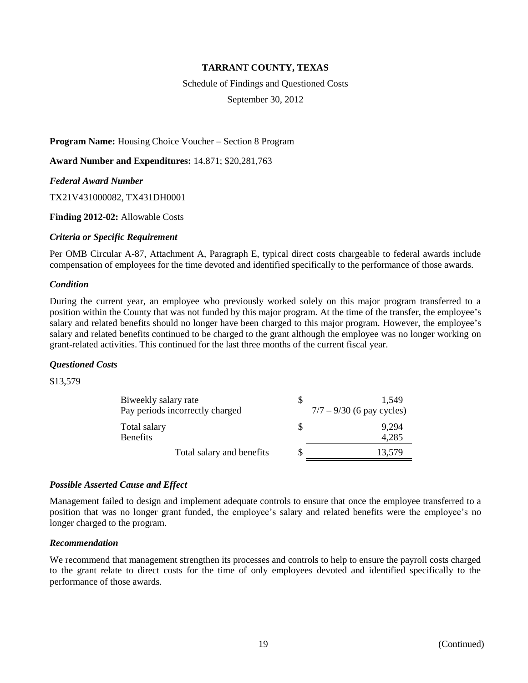Schedule of Findings and Questioned Costs

September 30, 2012

**Program Name:** Housing Choice Voucher – Section 8 Program

**Award Number and Expenditures:** 14.871; \$20,281,763

*Federal Award Number*

TX21V431000082, TX431DH0001

**Finding 2012-02:** Allowable Costs

#### *Criteria or Specific Requirement*

Per OMB Circular A-87, Attachment A, Paragraph E, typical direct costs chargeable to federal awards include compensation of employees for the time devoted and identified specifically to the performance of those awards.

#### *Condition*

During the current year, an employee who previously worked solely on this major program transferred to a position within the County that was not funded by this major program. At the time of the transfer, the employee's salary and related benefits should no longer have been charged to this major program. However, the employee's salary and related benefits continued to be charged to the grant although the employee was no longer working on grant-related activities. This continued for the last three months of the current fiscal year.

# *Questioned Costs*

\$13,579

| S | 1.549<br>$7/7 - 9/30$ (6 pay cycles) |
|---|--------------------------------------|
| S | 9,294<br>4,285                       |
|   | 13,579                               |
|   |                                      |

# *Possible Asserted Cause and Effect*

Management failed to design and implement adequate controls to ensure that once the employee transferred to a position that was no longer grant funded, the employee's salary and related benefits were the employee's no longer charged to the program.

#### *Recommendation*

We recommend that management strengthen its processes and controls to help to ensure the payroll costs charged to the grant relate to direct costs for the time of only employees devoted and identified specifically to the performance of those awards.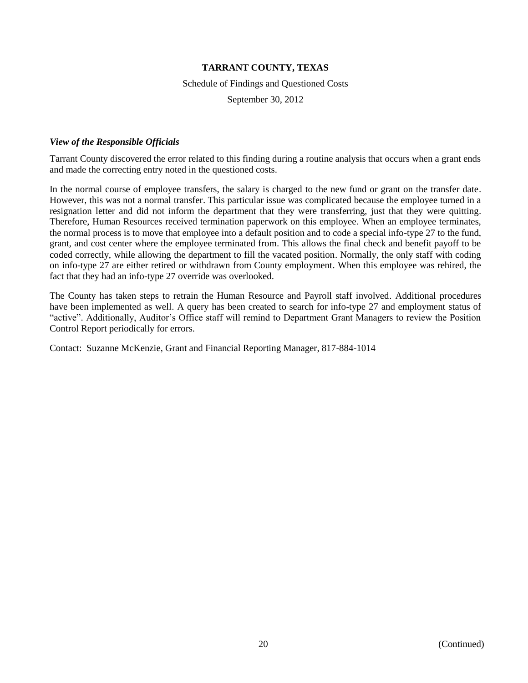#### Schedule of Findings and Questioned Costs

September 30, 2012

#### *View of the Responsible Officials*

Tarrant County discovered the error related to this finding during a routine analysis that occurs when a grant ends and made the correcting entry noted in the questioned costs.

In the normal course of employee transfers, the salary is charged to the new fund or grant on the transfer date. However, this was not a normal transfer. This particular issue was complicated because the employee turned in a resignation letter and did not inform the department that they were transferring, just that they were quitting. Therefore, Human Resources received termination paperwork on this employee. When an employee terminates, the normal process is to move that employee into a default position and to code a special info-type 27 to the fund, grant, and cost center where the employee terminated from. This allows the final check and benefit payoff to be coded correctly, while allowing the department to fill the vacated position. Normally, the only staff with coding on info-type 27 are either retired or withdrawn from County employment. When this employee was rehired, the fact that they had an info-type 27 override was overlooked.

The County has taken steps to retrain the Human Resource and Payroll staff involved. Additional procedures have been implemented as well. A query has been created to search for info-type 27 and employment status of "active". Additionally, Auditor's Office staff will remind to Department Grant Managers to review the Position Control Report periodically for errors.

Contact: Suzanne McKenzie, Grant and Financial Reporting Manager, 817-884-1014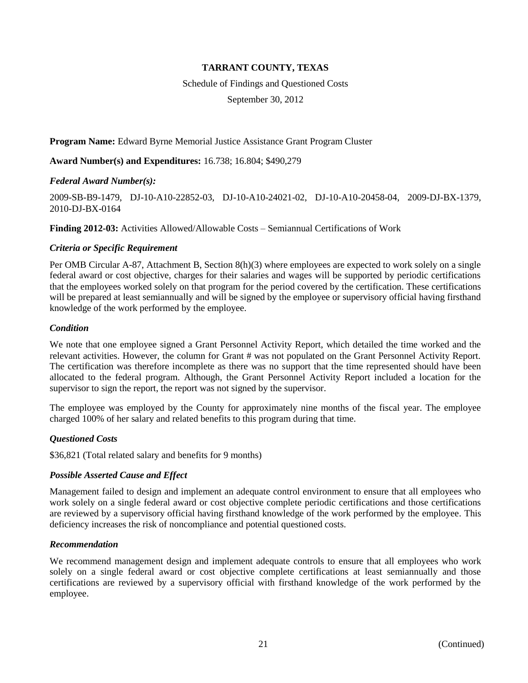Schedule of Findings and Questioned Costs

September 30, 2012

# **Program Name:** Edward Byrne Memorial Justice Assistance Grant Program Cluster

**Award Number(s) and Expenditures:** 16.738; 16.804; \$490,279

#### *Federal Award Number(s):*

2009-SB-B9-1479, DJ-10-A10-22852-03, DJ-10-A10-24021-02, DJ-10-A10-20458-04, 2009-DJ-BX-1379, 2010-DJ-BX-0164

**Finding 2012-03:** Activities Allowed/Allowable Costs – Semiannual Certifications of Work

#### *Criteria or Specific Requirement*

Per OMB Circular A-87, Attachment B, Section 8(h)(3) where employees are expected to work solely on a single federal award or cost objective, charges for their salaries and wages will be supported by periodic certifications that the employees worked solely on that program for the period covered by the certification. These certifications will be prepared at least semiannually and will be signed by the employee or supervisory official having firsthand knowledge of the work performed by the employee.

#### *Condition*

We note that one employee signed a Grant Personnel Activity Report, which detailed the time worked and the relevant activities. However, the column for Grant # was not populated on the Grant Personnel Activity Report. The certification was therefore incomplete as there was no support that the time represented should have been allocated to the federal program. Although, the Grant Personnel Activity Report included a location for the supervisor to sign the report, the report was not signed by the supervisor.

The employee was employed by the County for approximately nine months of the fiscal year. The employee charged 100% of her salary and related benefits to this program during that time.

# *Questioned Costs*

\$36,821 (Total related salary and benefits for 9 months)

# *Possible Asserted Cause and Effect*

Management failed to design and implement an adequate control environment to ensure that all employees who work solely on a single federal award or cost objective complete periodic certifications and those certifications are reviewed by a supervisory official having firsthand knowledge of the work performed by the employee. This deficiency increases the risk of noncompliance and potential questioned costs.

#### *Recommendation*

We recommend management design and implement adequate controls to ensure that all employees who work solely on a single federal award or cost objective complete certifications at least semiannually and those certifications are reviewed by a supervisory official with firsthand knowledge of the work performed by the employee.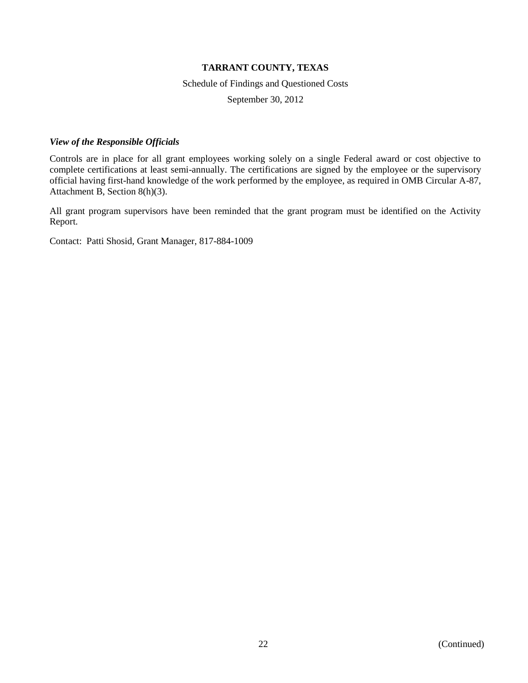Schedule of Findings and Questioned Costs

September 30, 2012

#### *View of the Responsible Officials*

Controls are in place for all grant employees working solely on a single Federal award or cost objective to complete certifications at least semi-annually. The certifications are signed by the employee or the supervisory official having first-hand knowledge of the work performed by the employee, as required in OMB Circular A-87, Attachment B, Section 8(h)(3).

All grant program supervisors have been reminded that the grant program must be identified on the Activity Report.

Contact: Patti Shosid, Grant Manager, 817-884-1009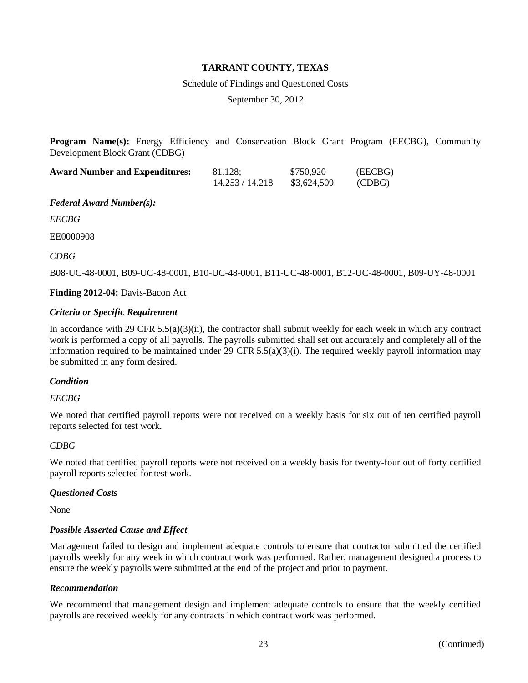Schedule of Findings and Questioned Costs

September 30, 2012

**Program Name(s):** Energy Efficiency and Conservation Block Grant Program (EECBG), Community Development Block Grant (CDBG)

| <b>Award Number and Expenditures:</b> | 81.128;         | \$750,920   | (EECBG) |
|---------------------------------------|-----------------|-------------|---------|
|                                       | 14.253 / 14.218 | \$3,624,509 | (CDBG)  |

*Federal Award Number(s):*

*EECBG*

EE0000908

*CDBG*

B08-UC-48-0001, B09-UC-48-0001, B10-UC-48-0001, B11-UC-48-0001, B12-UC-48-0001, B09-UY-48-0001

**Finding 2012-04:** Davis-Bacon Act

# *Criteria or Specific Requirement*

In accordance with 29 CFR  $5.5(a)(3)(ii)$ , the contractor shall submit weekly for each week in which any contract work is performed a copy of all payrolls. The payrolls submitted shall set out accurately and completely all of the information required to be maintained under 29 CFR  $5.5(a)(3)(i)$ . The required weekly payroll information may be submitted in any form desired.

# *Condition*

# *EECBG*

We noted that certified payroll reports were not received on a weekly basis for six out of ten certified payroll reports selected for test work.

# *CDBG*

We noted that certified payroll reports were not received on a weekly basis for twenty-four out of forty certified payroll reports selected for test work.

#### *Questioned Costs*

None

# *Possible Asserted Cause and Effect*

Management failed to design and implement adequate controls to ensure that contractor submitted the certified payrolls weekly for any week in which contract work was performed. Rather, management designed a process to ensure the weekly payrolls were submitted at the end of the project and prior to payment.

#### *Recommendation*

We recommend that management design and implement adequate controls to ensure that the weekly certified payrolls are received weekly for any contracts in which contract work was performed.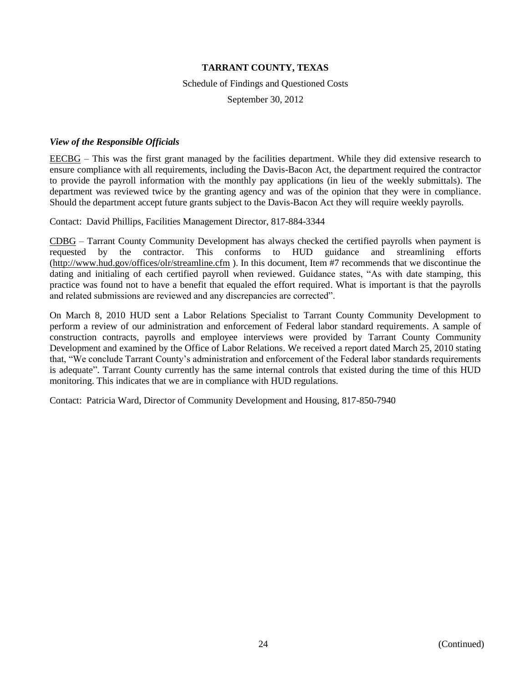#### Schedule of Findings and Questioned Costs

September 30, 2012

#### *View of the Responsible Officials*

EECBG – This was the first grant managed by the facilities department. While they did extensive research to ensure compliance with all requirements, including the Davis-Bacon Act, the department required the contractor to provide the payroll information with the monthly pay applications (in lieu of the weekly submittals). The department was reviewed twice by the granting agency and was of the opinion that they were in compliance. Should the department accept future grants subject to the Davis-Bacon Act they will require weekly payrolls.

Contact: David Phillips, Facilities Management Director, 817-884-3344

CDBG – Tarrant County Community Development has always checked the certified payrolls when payment is requested by the contractor. This conforms to HUD guidance and streamlining efforts [\(http://www.hud.gov/offices/olr/streamline.cfm](http://www.hud.gov/offices/olr/streamline.cfm) ). In this document, Item #7 recommends that we discontinue the dating and initialing of each certified payroll when reviewed. Guidance states, "As with date stamping, this practice was found not to have a benefit that equaled the effort required. What is important is that the payrolls and related submissions are reviewed and any discrepancies are corrected".

On March 8, 2010 HUD sent a Labor Relations Specialist to Tarrant County Community Development to perform a review of our administration and enforcement of Federal labor standard requirements. A sample of construction contracts, payrolls and employee interviews were provided by Tarrant County Community Development and examined by the Office of Labor Relations. We received a report dated March 25, 2010 stating that, "We conclude Tarrant County's administration and enforcement of the Federal labor standards requirements is adequate". Tarrant County currently has the same internal controls that existed during the time of this HUD monitoring. This indicates that we are in compliance with HUD regulations.

Contact: Patricia Ward, Director of Community Development and Housing, 817-850-7940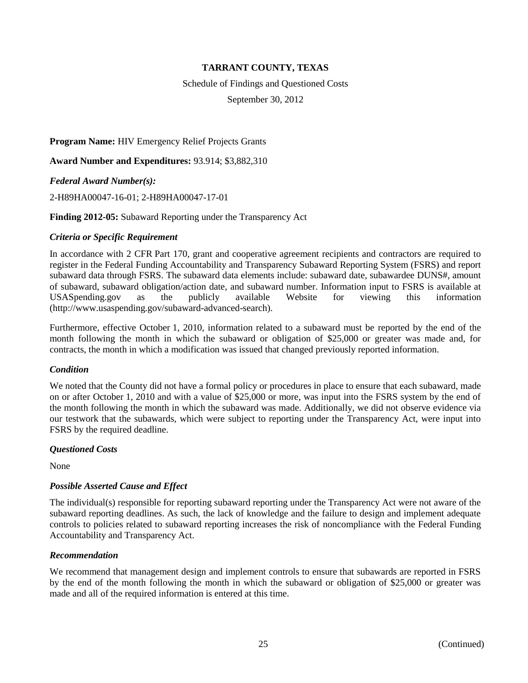Schedule of Findings and Questioned Costs

September 30, 2012

**Program Name:** HIV Emergency Relief Projects Grants

**Award Number and Expenditures:** 93.914; \$3,882,310

*Federal Award Number(s):*

2-H89HA00047-16-01; 2-H89HA00047-17-01

#### **Finding 2012-05:** Subaward Reporting under the Transparency Act

#### *Criteria or Specific Requirement*

In accordance with 2 CFR Part 170, grant and cooperative agreement recipients and contractors are required to register in the Federal Funding Accountability and Transparency Subaward Reporting System (FSRS) and report subaward data through FSRS. The subaward data elements include: subaward date, subawardee DUNS#, amount of subaward, subaward obligation/action date, and subaward number. Information input to FSRS is available at USASpending.gov as the publicly available Website for viewing this information [\(http://www.usaspending.gov/subaward-advanced-search\)](http://www.usaspending.gov/subaward-advanced-search).

Furthermore, effective October 1, 2010, information related to a subaward must be reported by the end of the month following the month in which the subaward or obligation of \$25,000 or greater was made and, for contracts, the month in which a modification was issued that changed previously reported information.

#### *Condition*

We noted that the County did not have a formal policy or procedures in place to ensure that each subaward, made on or after October 1, 2010 and with a value of \$25,000 or more, was input into the FSRS system by the end of the month following the month in which the subaward was made. Additionally, we did not observe evidence via our testwork that the subawards, which were subject to reporting under the Transparency Act, were input into FSRS by the required deadline.

# *Questioned Costs*

None

# *Possible Asserted Cause and Effect*

The individual(s) responsible for reporting subaward reporting under the Transparency Act were not aware of the subaward reporting deadlines. As such, the lack of knowledge and the failure to design and implement adequate controls to policies related to subaward reporting increases the risk of noncompliance with the Federal Funding Accountability and Transparency Act.

#### *Recommendation*

We recommend that management design and implement controls to ensure that subawards are reported in FSRS by the end of the month following the month in which the subaward or obligation of \$25,000 or greater was made and all of the required information is entered at this time.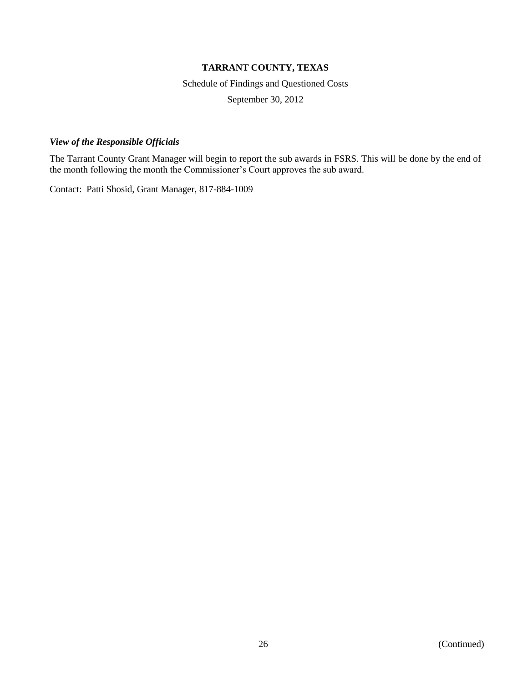Schedule of Findings and Questioned Costs

September 30, 2012

#### *View of the Responsible Officials*

The Tarrant County Grant Manager will begin to report the sub awards in FSRS. This will be done by the end of the month following the month the Commissioner's Court approves the sub award.

Contact: Patti Shosid, Grant Manager, 817-884-1009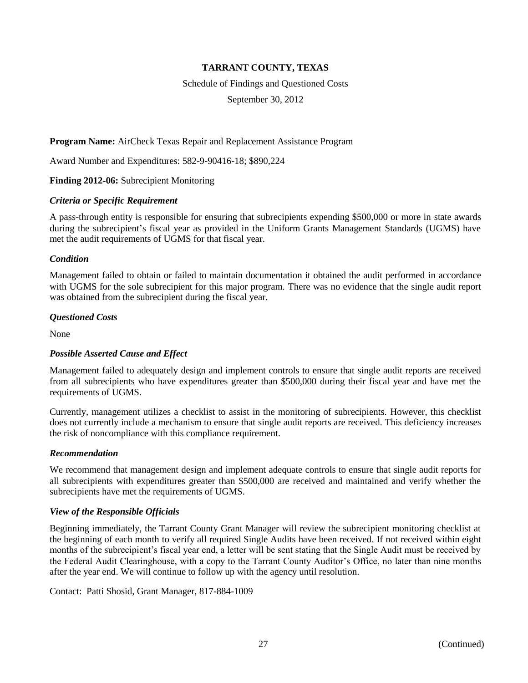Schedule of Findings and Questioned Costs

September 30, 2012

**Program Name:** AirCheck Texas Repair and Replacement Assistance Program

Award Number and Expenditures: 582-9-90416-18; \$890,224

**Finding 2012-06:** Subrecipient Monitoring

#### *Criteria or Specific Requirement*

A pass-through entity is responsible for ensuring that subrecipients expending \$500,000 or more in state awards during the subrecipient's fiscal year as provided in the Uniform Grants Management Standards (UGMS) have met the audit requirements of UGMS for that fiscal year.

#### *Condition*

Management failed to obtain or failed to maintain documentation it obtained the audit performed in accordance with UGMS for the sole subrecipient for this major program. There was no evidence that the single audit report was obtained from the subrecipient during the fiscal year.

#### *Questioned Costs*

None

# *Possible Asserted Cause and Effect*

Management failed to adequately design and implement controls to ensure that single audit reports are received from all subrecipients who have expenditures greater than \$500,000 during their fiscal year and have met the requirements of UGMS.

Currently, management utilizes a checklist to assist in the monitoring of subrecipients. However, this checklist does not currently include a mechanism to ensure that single audit reports are received. This deficiency increases the risk of noncompliance with this compliance requirement.

# *Recommendation*

We recommend that management design and implement adequate controls to ensure that single audit reports for all subrecipients with expenditures greater than \$500,000 are received and maintained and verify whether the subrecipients have met the requirements of UGMS.

# *View of the Responsible Officials*

Beginning immediately, the Tarrant County Grant Manager will review the subrecipient monitoring checklist at the beginning of each month to verify all required Single Audits have been received. If not received within eight months of the subrecipient's fiscal year end, a letter will be sent stating that the Single Audit must be received by the Federal Audit Clearinghouse, with a copy to the Tarrant County Auditor's Office, no later than nine months after the year end. We will continue to follow up with the agency until resolution.

Contact: Patti Shosid, Grant Manager, 817-884-1009